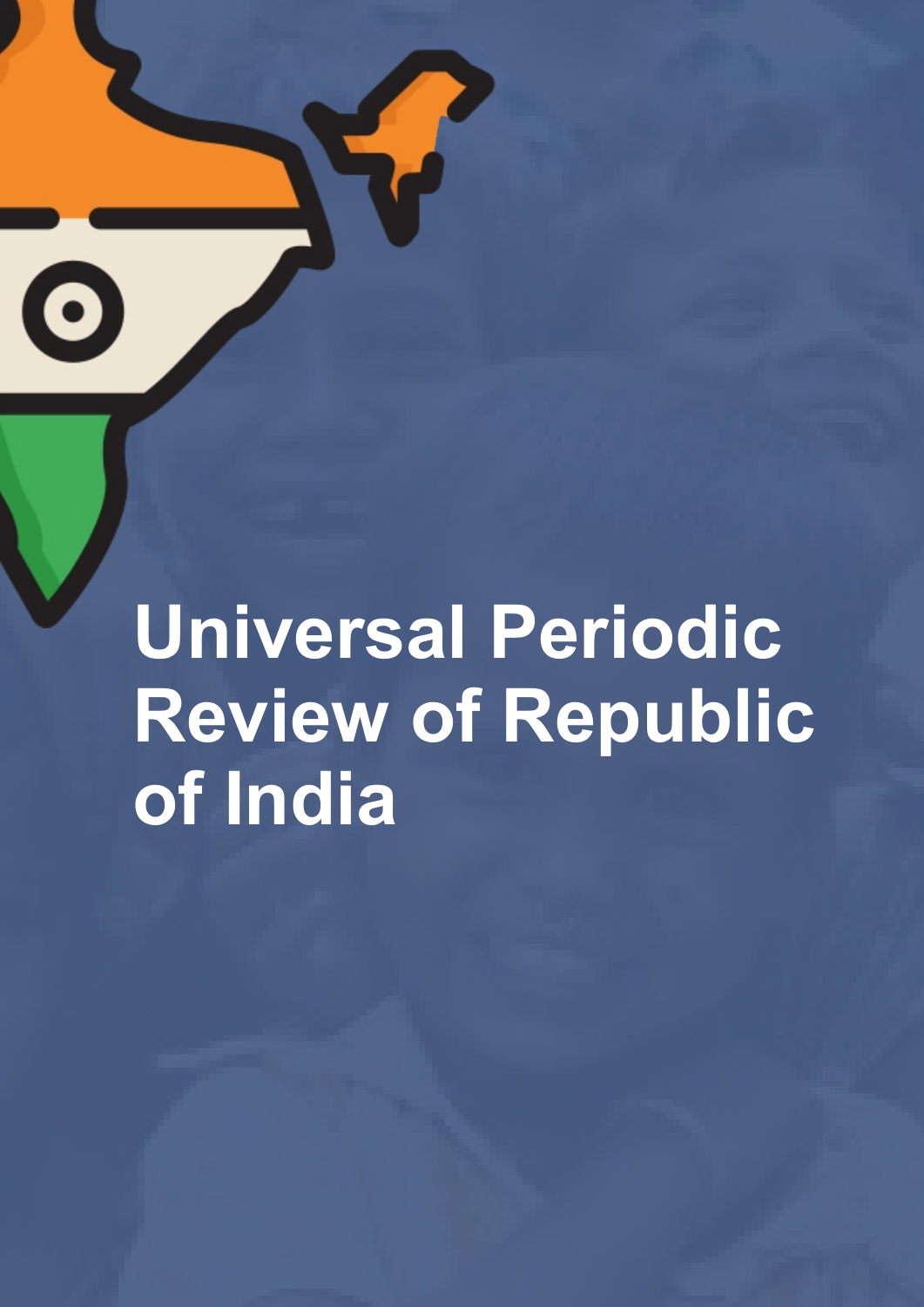**Universal Periodic Review of Republic of India**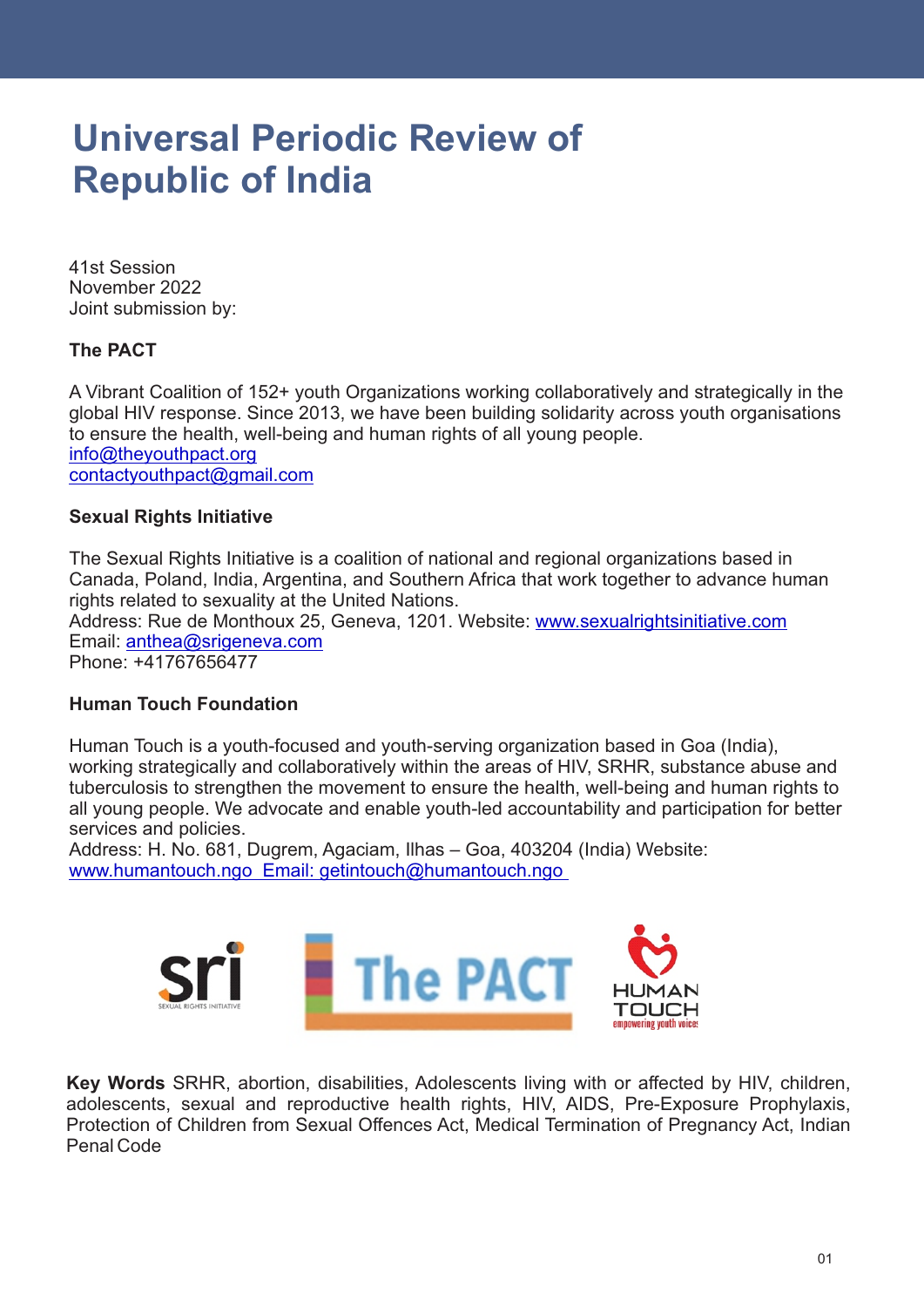# **Universal Periodic Review of Republic of India**

41st Session Joint submission by: November 2022

#### **The PACT**

A Vibrant Coalition of 152+ youth Organizations working collaboratively and strategically in the global HIV response. Since 2013, we have been building solidarity across youth organisations to ensure the health, well-being and human rights of all young people. info@theyouthpact.org contactyouthpact@gmail.com

#### **Sexual Rights Initiative**

Email: anthea@srigeneva.com Address: Rue de Monthoux 25, Geneva, 1201. Website: www.sexualrightsinitiative.com The Sexual Rights Initiative is a coalition of national and regional organizations based in Canada, Poland, India, Argentina, and Southern Africa that work together to advance human rights related to sexuality at the United Nations.

Phone: +41767656477

#### **Human Touch Foundation**

Human Touch is a youth-focused and youth-serving organization based in Goa (India), working strategically and collaboratively within the areas of HIV, SRHR, substance abuse and tuberculosis to strengthen the movement to ensure the health, well-being and human rights to all young people. We advocate and enable youth-led accountability and participation for better services and policies.

Address: H. No. 681, Dugrem, Agaciam, Ilhas – Goa, 403204 (India) Website: www.humantouch.ngo Email: getintouch@humantouch.ngo



**Key Words** SRHR, abortion, disabilities, Adolescents living with or affected by HIV, children, adolescents, sexual and reproductive health rights, HIV, AIDS, Pre-Exposure Prophylaxis, Protection of Children from Sexual Offences Act, Medical Termination of Pregnancy Act, Indian Penal Code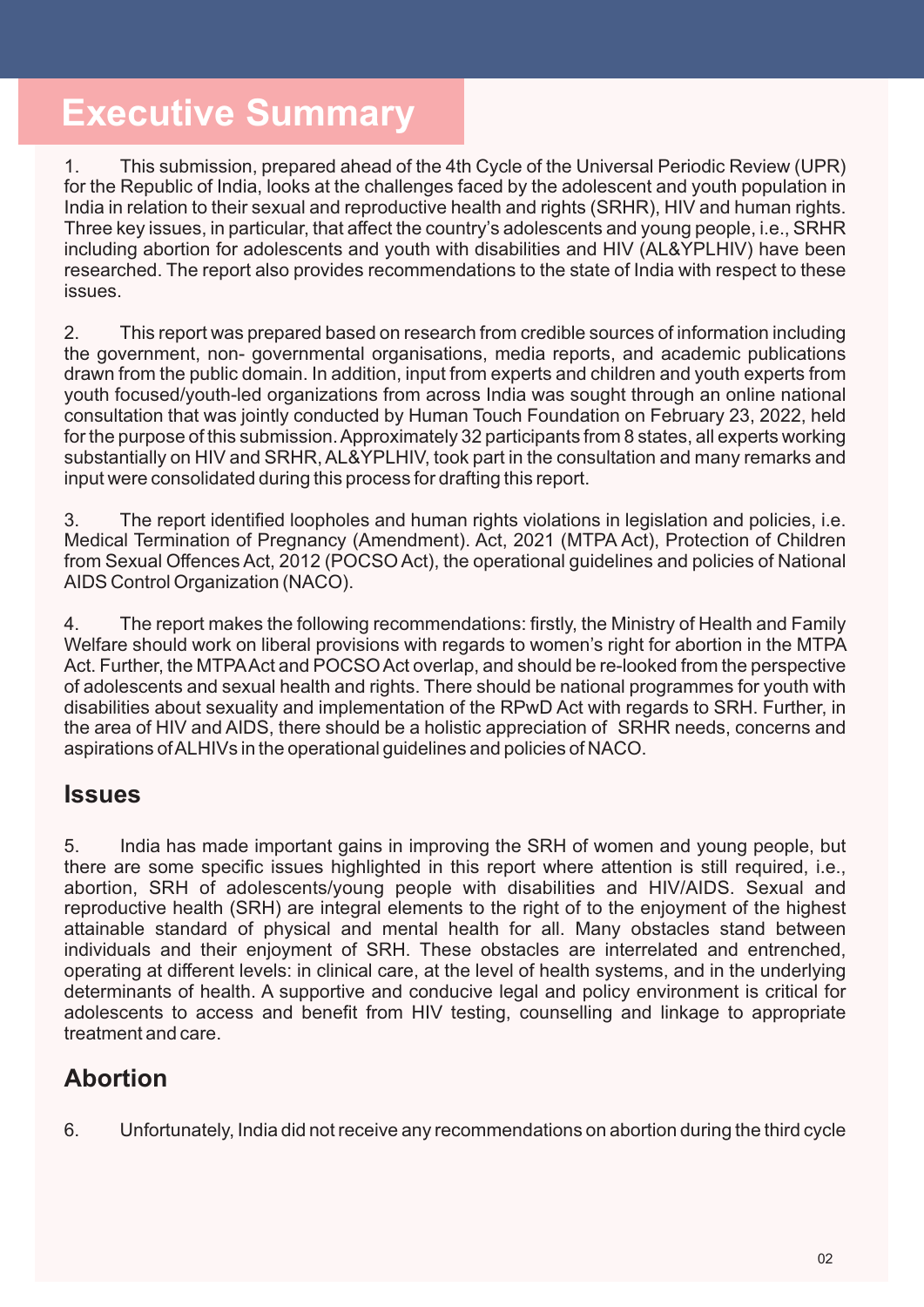# **Executive Summary**

1. This submission, prepared ahead of the 4th Cycle of the Universal Periodic Review (UPR) for the Republic of India, looks at the challenges faced by the adolescent and youth population in India in relation to their sexual and reproductive health and rights (SRHR), HIV and human rights. Three key issues, in particular, that affect the country's adolescents and young people, i.e., SRHR including abortion for adolescents and youth with disabilities and HIV (AL&YPLHIV) have been researched. The report also provides recommendations to the state of India with respect to these issues.

2. This report was prepared based on research from credible sources of information including the government, non- governmental organisations, media reports, and academic publications drawn from the public domain. In addition, input from experts and children and youth experts from youth focused/youth-led organizations from across India was sought through an online national consultation that was jointly conducted by Human Touch Foundation on February 23, 2022, held for the purpose of this submission. Approximately 32 participants from 8 states, all experts working substantially on HIV and SRHR, AL&YPLHIV, took part in the consultation and many remarks and input were consolidated during this process for drafting this report.

3. The report identified loopholes and human rights violations in legislation and policies, i.e. Medical Termination of Pregnancy (Amendment). Act, 2021 (MTPA Act), Protection of Children from Sexual Offences Act, 2012 (POCSO Act), the operational guidelines and policies of National AIDS Control Organization (NACO).

4. The report makes the following recommendations: firstly, the Ministry of Health and Family Welfare should work on liberal provisions with regards to women's right for abortion in the MTPA Act. Further, the MTPAAct and POCSO Act overlap, and should be re-looked from the perspective of adolescents and sexual health and rights. There should be national programmes for youth with disabilities about sexuality and implementation of the RPwD Act with regards to SRH. Further, in the area of HIV and AIDS, there should be a holistic appreciation of SRHR needs, concerns and aspirations of ALHIVs in the operational guidelines and policies of NACO.

## **Issues**

5. India has made important gains in improving the SRH of women and young people, but there are some specific issues highlighted in this report where attention is still required, i.e., abortion, SRH of adolescents/young people with disabilities and HIV/AIDS. Sexual and reproductive health (SRH) are integral elements to the right of to the enjoyment of the highest attainable standard of physical and mental health for all. Many obstacles stand between individuals and their enjoyment of SRH. These obstacles are interrelated and entrenched, operating at different levels: in clinical care, at the level of health systems, and in the underlying determinants of health. A supportive and conducive legal and policy environment is critical for adolescents to access and benefit from HIV testing, counselling and linkage to appropriate treatment and care.

## **Abortion**

6. Unfortunately, India did not receive any recommendations on abortion during the third cycle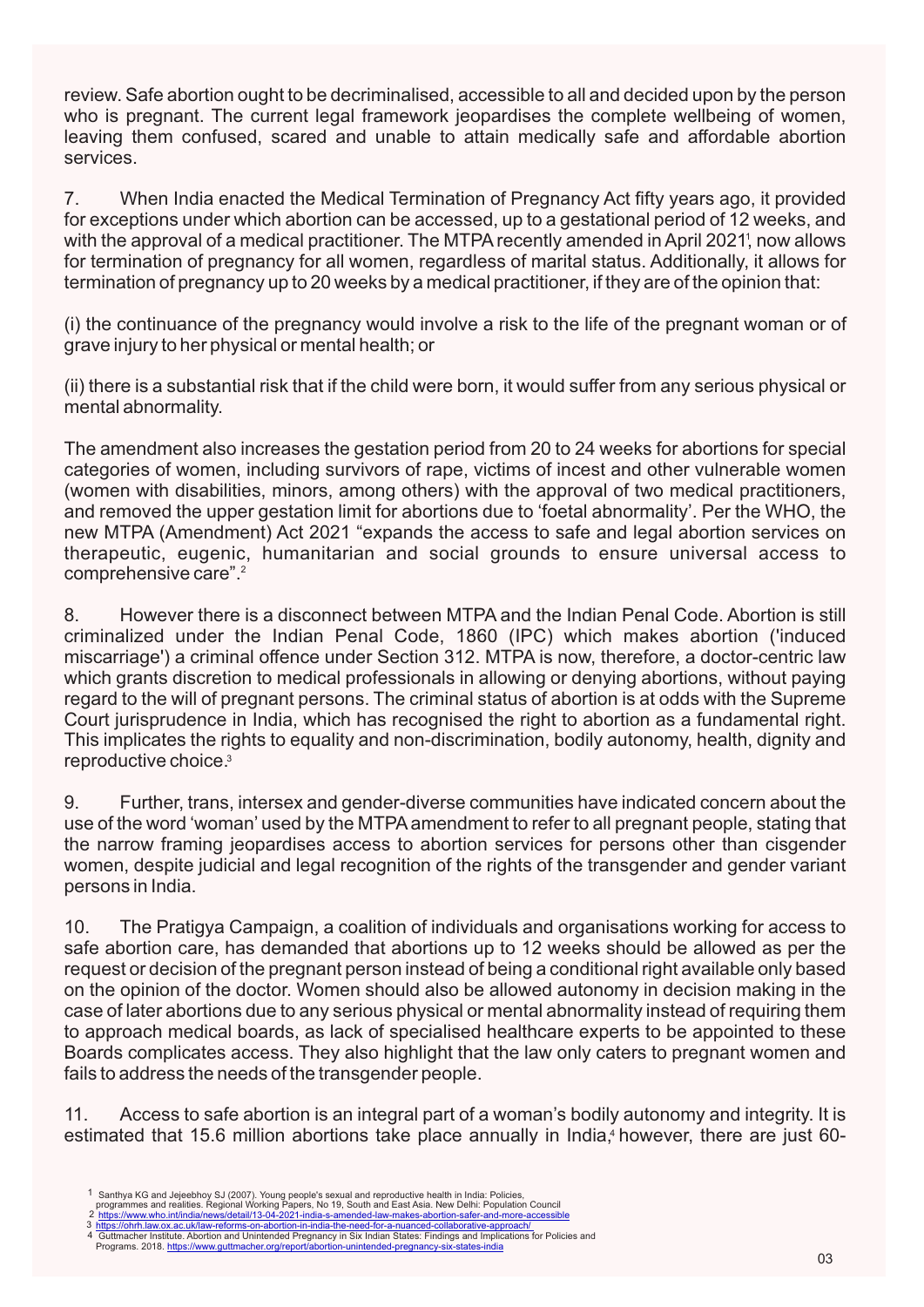review. Safe abortion ought to be decriminalised, accessible to all and decided upon by the person who is pregnant. The current legal framework jeopardises the complete wellbeing of women, leaving them confused, scared and unable to attain medically safe and affordable abortion services.

with the approval of a medical practitioner. The MTPA recently amended in April 2021', now allows 7. When India enacted the Medical Termination of Pregnancy Act fifty years ago, it provided for exceptions under which abortion can be accessed, up to a gestational period of 12 weeks, and for termination of pregnancy for all women, regardless of marital status. Additionally, it allows for termination of pregnancy up to 20 weeks by a medical practitioner, if they are of the opinion that:

(i) the continuance of the pregnancy would involve a risk to the life of the pregnant woman or of grave injury to her physical or mental health; or

(ii) there is a substantial risk that if the child were born, it would suffer from any serious physical or mental abnormality.

2 comprehensive care". The amendment also increases the gestation period from 20 to 24 weeks for abortions for special categories of women, including survivors of rape, victims of incest and other vulnerable women (women with disabilities, minors, among others) with the approval of two medical practitioners, and removed the upper gestation limit for abortions due to 'foetal abnormality'. Per the WHO, the new MTPA (Amendment) Act 2021 "expands the access to safe and legal abortion services on therapeutic, eugenic, humanitarian and social grounds to ensure universal access to

reproductive choice.<sup>3</sup> 8. However there is a disconnect between MTPA and the Indian Penal Code. Abortion is still criminalized under the Indian Penal Code, 1860 (IPC) which makes abortion ('induced miscarriage') a criminal offence under Section 312. MTPA is now, therefore, a doctor-centric law which grants discretion to medical professionals in allowing or denying abortions, without paying regard to the will of pregnant persons. The criminal status of abortion is at odds with the Supreme Court jurisprudence in India, which has recognised the right to abortion as a fundamental right. This implicates the rights to equality and non-discrimination, bodily autonomy, health, dignity and

9. Further, trans, intersex and gender-diverse communities have indicated concern about the use of the word 'woman' used by the MTPAamendment to refer to all pregnant people, stating that the narrow framing jeopardises access to abortion services for persons other than cisgender women, despite judicial and legal recognition of the rights of the transgender and gender variant persons in India.

10. The Pratigya Campaign, a coalition of individuals and organisations working for access to safe abortion care, has demanded that abortions up to 12 weeks should be allowed as per the request or decision of the pregnant person instead of being a conditional right available only based on the opinion of the doctor. Women should also be allowed autonomy in decision making in the case of later abortions due to any serious physical or mental abnormality instead of requiring them to approach medical boards, as lack of specialised healthcare experts to be appointed to these Boards complicates access. They also highlight that the law only caters to pregnant women and fails to address the needs of the transgender people.

11. Access to safe abortion is an integral part of a woman's bodily autonomy and integrity. It is estimated that 15.6 million abortions take place annually in India,<sup>4</sup> however, there are just 60-

<sup>1</sup>

Santhya KG and Jejeebhoy SJ (2007). Young people's sexual and reproductive health in India: Policies,<br>programmes and realities. Regional Working Papers, No 19, South and East Asia. New Delhi: Population Council<br>https://www 2

<sup>3</sup> https://ohrh.law.ox.ac.uk/law-reforms-on-abortion-in-india-the-need-for-a-nuanced-collaborative-approach/<br>4 Guttmacher Institute. Abortion and Unintended Pregnancy in Six Indian States: Findings and Implications for Poli Programs. 2018. https://www.guttmacher.org/report/abortion-unintended-pregnancy-six-states-india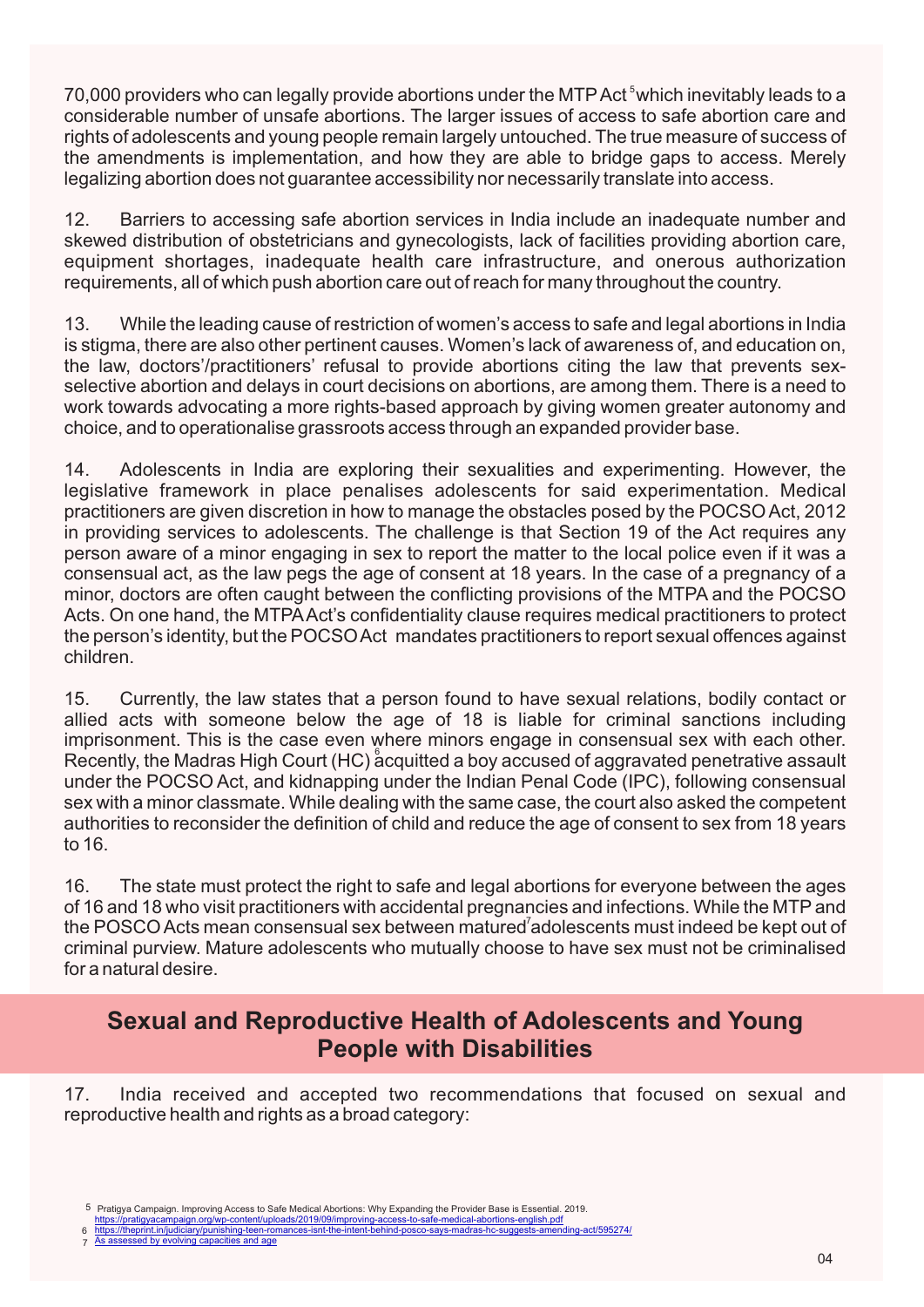70,000 providers who can legally provide abortions under the MTP Act <sup>5</sup> which inevitably leads to a considerable number of unsafe abortions. The larger issues of access to safe abortion care and rights of adolescents and young people remain largely untouched. The true measure of success of the amendments is implementation, and how they are able to bridge gaps to access. Merely legalizing abortion does not guarantee accessibility nor necessarily translate into access.

12. Barriers to accessing safe abortion services in India include an inadequate number and skewed distribution of obstetricians and gynecologists, lack of facilities providing abortion care, equipment shortages, inadequate health care infrastructure, and onerous authorization requirements, all of which push abortion care out of reach for many throughout the country.

13. While the leading cause of restriction of women's access to safe and legal abortions in India is stigma, there are also other pertinent causes. Women's lack of awareness of, and education on, the law, doctors'/practitioners' refusal to provide abortions citing the law that prevents sexselective abortion and delays in court decisions on abortions, are among them. There is a need to work towards advocating a more rights-based approach by giving women greater autonomy and choice, and to operationalise grassroots access through an expanded provider base.

14. Adolescents in India are exploring their sexualities and experimenting. However, the legislative framework in place penalises adolescents for said experimentation. Medical practitioners are given discretion in how to manage the obstacles posed by the POCSO Act, 2012 in providing services to adolescents. The challenge is that Section 19 of the Act requires any person aware of a minor engaging in sex to report the matter to the local police even if it was a consensual act, as the law pegs the age of consent at 18 years. In the case of a pregnancy of a minor, doctors are often caught between the conflicting provisions of the MTPA and the POCSO Acts. On one hand, the MTPAAct's confidentiality clause requires medical practitioners to protect the person's identity, but the POCSO Act mandates practitioners to report sexual offences against children.

Recently, the Madras High Court (HC) acquitted a boy accused of aggravated penetrative assault 15. Currently, the law states that a person found to have sexual relations, bodily contact or allied acts with someone below the age of 18 is liable for criminal sanctions including imprisonment. This is the case even where minors engage in consensual sex with each other. under the POCSO Act, and kidnapping under the Indian Penal Code (IPC), following consensual sex with a minor classmate. While dealing with the same case, the court also asked the competent authorities to reconsider the definition of child and reduce the age of consent to sex from 18 years to 16.

the POSCO Acts mean consensual sex between matured<sup>7</sup>adolescents must indeed be kept out of 16. The state must protect the right to safe and legal abortions for everyone between the ages of 16 and 18 who visit practitioners with accidental pregnancies and infections. While the MTP and criminal purview. Mature adolescents who mutually choose to have sex must not be criminalised for a natural desire.

## **Sexual and Reproductive Health of Adolescents and Young People with Disabilities**

17. India received and accepted two recommendations that focused on sexual and reproductive health and rights as a broad category:

- https://pratigyacampaign.org/wp-content/uploads/2019/09/improving-6 https://theprint.in/judiciary/punishing-teen-romances-isnt-the-intent-behind-posco-says-madras-hc-suggests-amending-act/595274
- As assessed by evolving capacities and age 7

<sup>5</sup> Pratigya Campaign. Improving Access to Safe Medical Abortions: Why Expanding the Provider Base is Essential. 2019.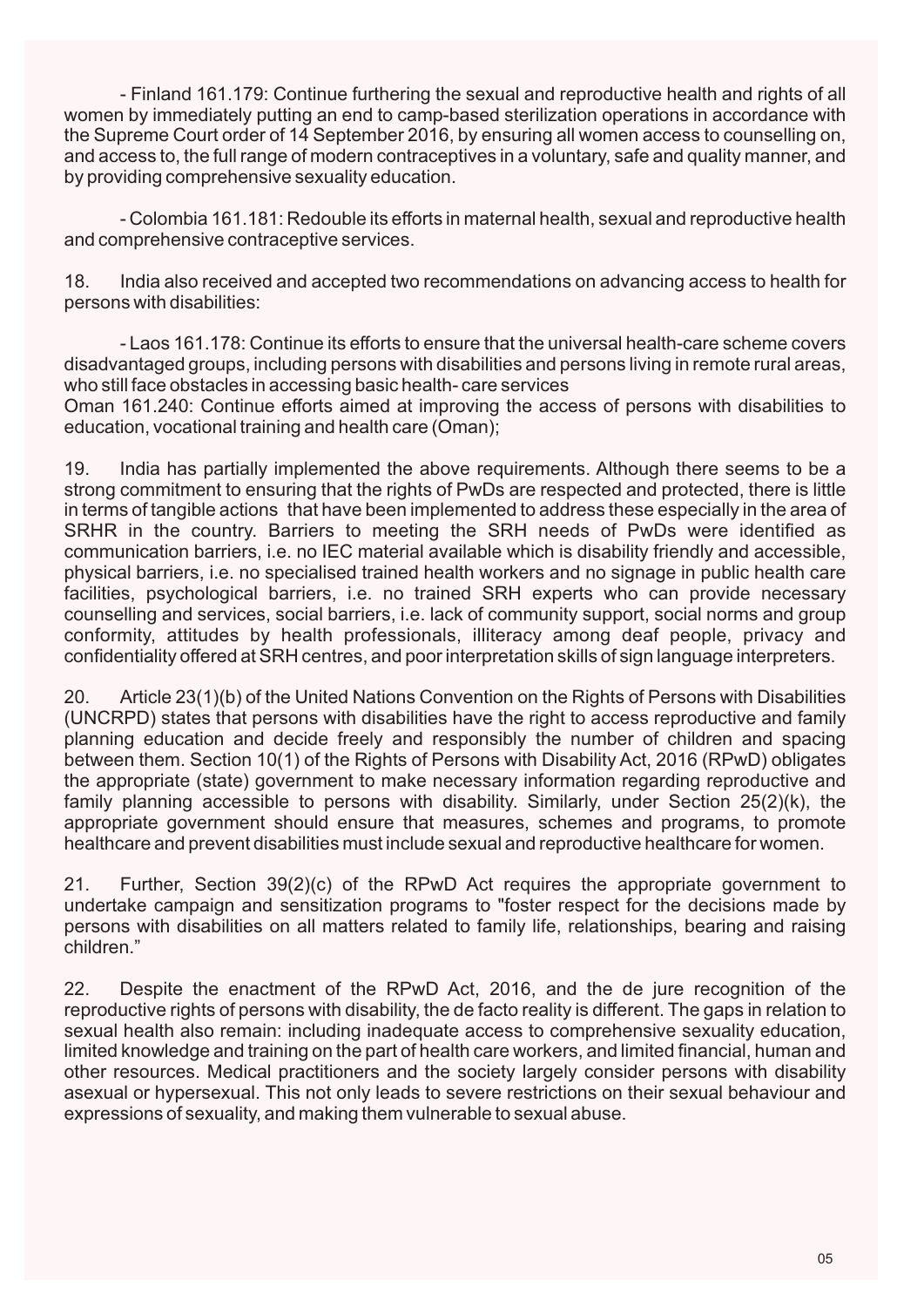- Finland 161.179: Continue furthering the sexual and reproductive health and rights of all women by immediately putting an end to camp-based sterilization operations in accordance with the Supreme Court order of 14 September 2016, by ensuring all women access to counselling on, and access to, the full range of modern contraceptives in a voluntary, safe and quality manner, and by providing comprehensive sexuality education.

- Colombia 161.181: Redouble its efforts in maternal health, sexual and reproductive health and comprehensive contraceptive services.

18. India also received and accepted two recommendations on advancing access to health for persons with disabilities:

- Laos 161.178: Continue its efforts to ensure that the universal health-care scheme covers disadvantaged groups, including persons with disabilities and persons living in remote rural areas, who still face obstacles in accessing basic health- care services

Oman 161.240: Continue efforts aimed at improving the access of persons with disabilities to education, vocational training and health care (Oman);

19. India has partially implemented the above requirements. Although there seems to be a strong commitment to ensuring that the rights of PwDs are respected and protected, there is little in terms of tangible actions that have been implemented to address these especially in the area of SRHR in the country. Barriers to meeting the SRH needs of PwDs were identified as communication barriers, i.e. no IEC material available which is disability friendly and accessible, physical barriers, i.e. no specialised trained health workers and no signage in public health care facilities, psychological barriers, i.e. no trained SRH experts who can provide necessary counselling and services, social barriers, i.e. lack of community support, social norms and group conformity, attitudes by health professionals, illiteracy among deaf people, privacy and confidentiality offered at SRH centres, and poor interpretation skills of sign language interpreters.

20. Article 23(1)(b) of the United Nations Convention on the Rights of Persons with Disabilities (UNCRPD) states that persons with disabilities have the right to access reproductive and family planning education and decide freely and responsibly the number of children and spacing between them. Section 10(1) of the Rights of Persons with Disability Act, 2016 (RPwD) obligates the appropriate (state) government to make necessary information regarding reproductive and family planning accessible to persons with disability. Similarly, under Section 25(2)(k), the appropriate government should ensure that measures, schemes and programs, to promote healthcare and prevent disabilities must include sexual and reproductive healthcare for women.

21. Further, Section 39(2)(c) of the RPwD Act requires the appropriate government to undertake campaign and sensitization programs to "foster respect for the decisions made by persons with disabilities on all matters related to family life, relationships, bearing and raising children."

22. Despite the enactment of the RPwD Act, 2016, and the de jure recognition of the reproductive rights of persons with disability, the de facto reality is different. The gaps in relation to sexual health also remain: including inadequate access to comprehensive sexuality education, limited knowledge and training on the part of health care workers, and limited financial, human and other resources. Medical practitioners and the society largely consider persons with disability asexual or hypersexual. This not only leads to severe restrictions on their sexual behaviour and expressions of sexuality, and making them vulnerable to sexual abuse.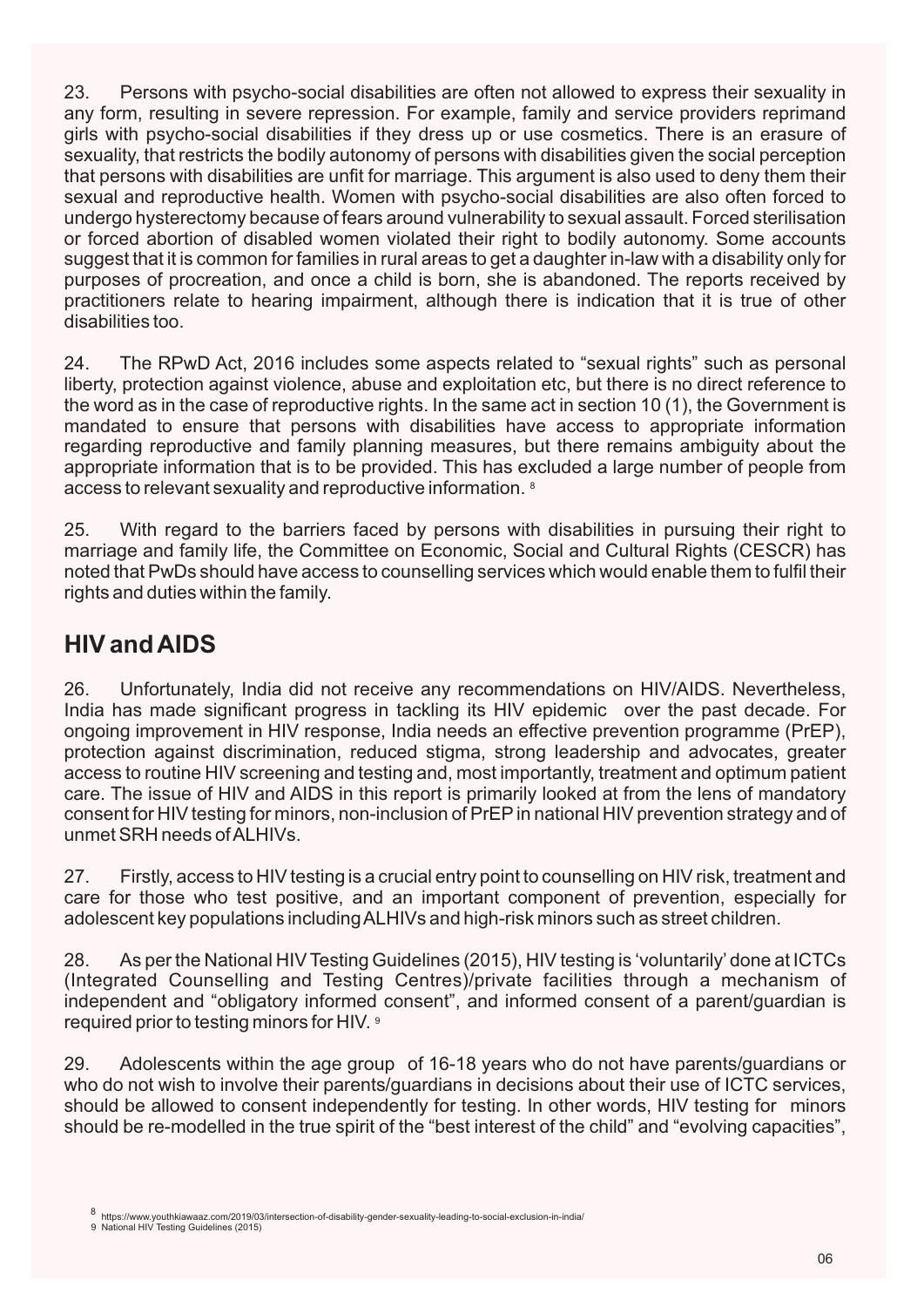23. Persons with psycho-social disabilities are often not allowed to express their sexuality in any form, resulting in severe repression. For example, family and service providers reprimand girls with psycho-social disabilities if they dress up or use cosmetics. There is an erasure of sexuality, that restricts the bodily autonomy of persons with disabilities given the social perception that persons with disabilities are unfit for marriage. This argument is also used to deny them their sexual and reproductive health. Women with psycho-social disabilities are also often forced to undergo hysterectomy because of fears around vulnerability to sexual assault. Forced sterilisation or forced abortion of disabled women violated their right to bodily autonomy. Some accounts suggest that it is common for families in rural areas to get a daughter in-law with a disability only for purposes of procreation, and once a child is born, she is abandoned. The reports received by practitioners relate to hearing impairment, although there is indication that it is true of other disabilities too.

access to relevant sexuality and reproductive information. <sup>8</sup> 24. The RPwD Act, 2016 includes some aspects related to "sexual rights" such as personal liberty, protection against violence, abuse and exploitation etc, but there is no direct reference to the word as in the case of reproductive rights. In the same act in section 10 (1), the Government is mandated to ensure that persons with disabilities have access to appropriate information regarding reproductive and family planning measures, but there remains ambiguity about the appropriate information that is to be provided. This has excluded a large number of people from

25. With regard to the barriers faced by persons with disabilities in pursuing their right to marriage and family life, the Committee on Economic, Social and Cultural Rights (CESCR) has noted that PwDs should have access to counselling services which would enable them to fulfil their rights and duties within the family.

## **HIV and AIDS**

26. Unfortunately, India did not receive any recommendations on HIV/AIDS. Nevertheless, India has made significant progress in tackling its HIV epidemic over the past decade. For ongoing improvement in HIV response, India needs an effective prevention programme (PrEP), protection against discrimination, reduced stigma, strong leadership and advocates, greater access to routine HIV screening and testing and, most importantly, treatment and optimum patient care. The issue of HIV and AIDS in this report is primarily looked at from the lens of mandatory consent for HIV testing for minors, non-inclusion of PrEPin national HIV prevention strategy and of unmet SRH needs of ALHIVs.

27. Firstly, access to HIV testing is a crucial entry point to counselling on HIV risk, treatment and care for those who test positive, and an important component of prevention, especially for adolescent key populations including ALHIVs and high-risk minors such as street children.

required prior to testing minors for HIV.  $^{\circ}$ 28. As per the National HIV Testing Guidelines (2015), HIV testing is 'voluntarily' done at ICTCs (Integrated Counselling and Testing Centres)/private facilities through a mechanism of independent and "obligatory informed consent", and informed consent of a parent/guardian is

29. Adolescents within the age group of 16-18 years who do not have parents/guardians or who do not wish to involve their parents/guardians in decisions about their use of ICTC services, should be allowed to consent independently for testing. In other words, HIV testing for minors should be re-modelled in the true spirit of the "best interest of the child" and "evolving capacities",

National HIV Testing Guidelines (2015) 9

<sup>8</sup> https://www.youthkiawaaz.com/2019/03/intersection-of-disability-gender-sexuality-leading-to-social-exclusion-in-india/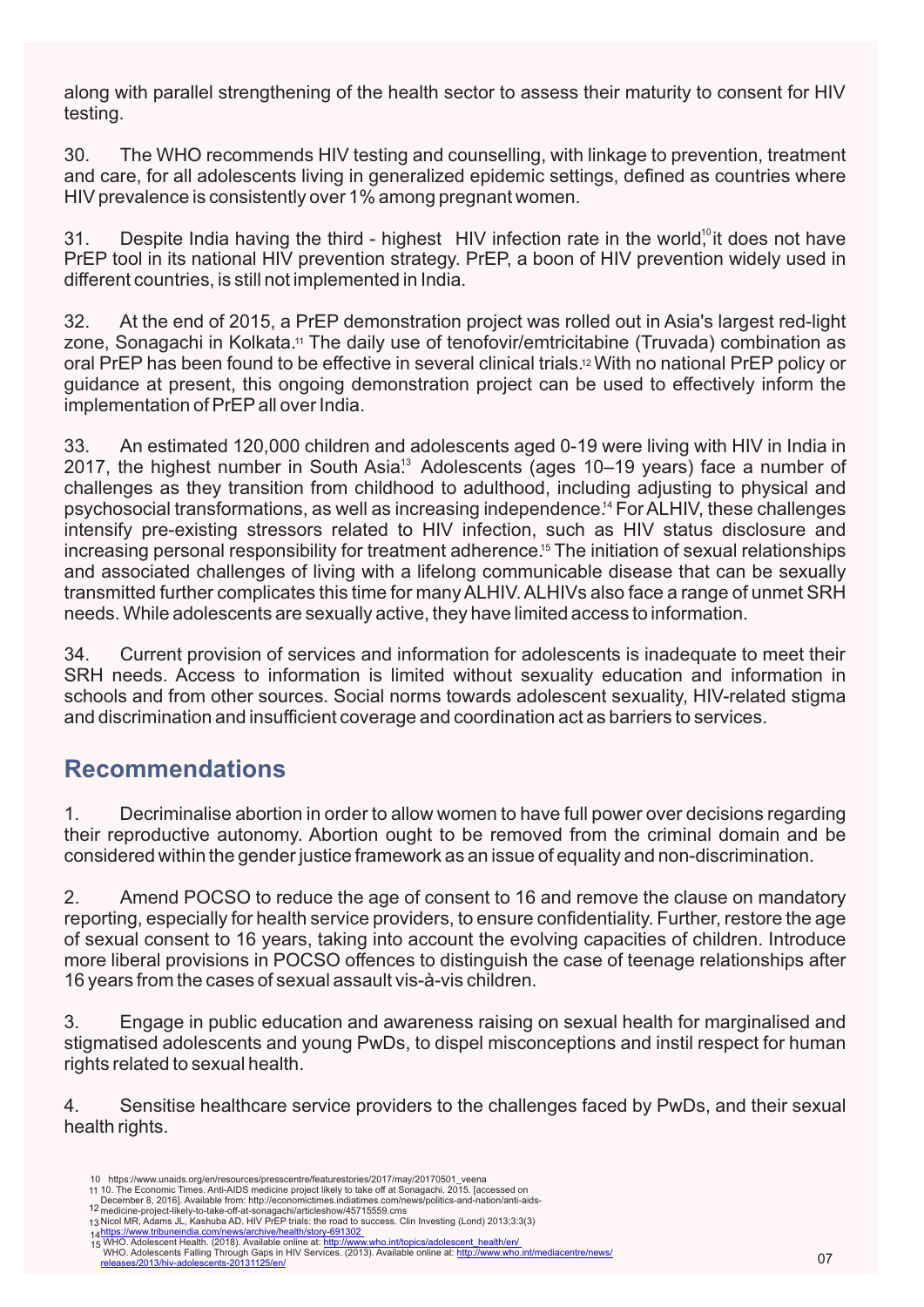along with parallel strengthening of the health sector to assess their maturity to consent for HIV testing.

30. The WHO recommends HIV testing and counselling, with linkage to prevention, treatment and care, for all adolescents living in generalized epidemic settings, defined as countries where HIV prevalence is consistently over 1% among pregnant women.

31. Despite India having the third - highest HIV infection rate in the world<sup>10</sup>it does not have PrEP tool in its national HIV prevention strategy. PrEP, a boon of HIV prevention widely used in different countries, is still not implemented in India.

zone, Sonagachi in Kolkata.11 The daily use of tenofovir/emtricitabine (Truvada) combination as oral PrEP has been found to be effective in several clinical trials.12 With no national PrEP policy or 32. At the end of 2015, a PrEP demonstration project was rolled out in Asia's largest red-light guidance at present, this ongoing demonstration project can be used to effectively inform the implementation of PrEPall over India.

psychosocial transformations, as well as increasing independence.<sup>14</sup> For ALHIV, these challenges 2017, the highest number in South Asia<sup>13</sup> Adolescents (ages 10–19 years) face a number of increasing personal responsibility for treatment adherence.<sup>15</sup> The initiation of sexual relationships 33. An estimated 120,000 children and adolescents aged 0-19 were living with HIV in India in challenges as they transition from childhood to adulthood, including adjusting to physical and intensify pre-existing stressors related to HIV infection, such as HIV status disclosure and and associated challenges of living with a lifelong communicable disease that can be sexually transmitted further complicates this time for many ALHIV. ALHIVs also face a range of unmet SRH needs. While adolescents are sexually active, they have limited access to information.

34. Current provision of services and information for adolescents is inadequate to meet their SRH needs. Access to information is limited without sexuality education and information in schools and from other sources. Social norms towards adolescent sexuality, HIV-related stigma and discrimination and insufficient coverage and coordination act as barriers to services.

## **Recommendations**

1. Decriminalise abortion in order to allow women to have full power over decisions regarding their reproductive autonomy. Abortion ought to be removed from the criminal domain and be considered within the gender justice framework as an issue of equality and non-discrimination.

2. Amend POCSO to reduce the age of consent to 16 and remove the clause on mandatory reporting, especially for health service providers, to ensure confidentiality. Further, restore the age of sexual consent to 16 years, taking into account the evolving capacities of children. Introduce more liberal provisions in POCSO offences to distinguish the case of teenage relationships after 16 years from the cases of sexual assault vis-à-vis children.

3. Engage in public education and awareness raising on sexual health for marginalised and stigmatised adolescents and young PwDs, to dispel misconceptions and instil respect for human rights related to sexual health.

4. Sensitise healthcare service providers to the challenges faced by PwDs, and their sexual health rights.

https://www.unaids.org/en/resources/presscentre/featurestories/2017/may/20170501\_veena 10

<sup>11 10.</sup> The Economic Times. Anti-AIDS medicine project likely to take off at Sonagachi. 2015. [accessed on

December 8, 2016]. Available from: http://economictimes.indiatimes.com/news/politics-and-nation/anti-aids-<br>medicine-project-likely-to-take-off-at-sonagachi/articleshow/45715559.cms<br>Nicol MR, Adams JL, Kashuba AD. HIV PrEP 12

<sup>13</sup>

<sup>14</sup> 15

<sup>&</sup>lt;u>https://www.tribuneindia.com/news/archive/health/story-691302<br>.WHO. Adolescent Health. (2018). Available online at: <u>http://www.who.int/topics/adolescent\_health/en/.</u><br>\_WHO. Adolescents Falling Through Gaps in HIV Services</u>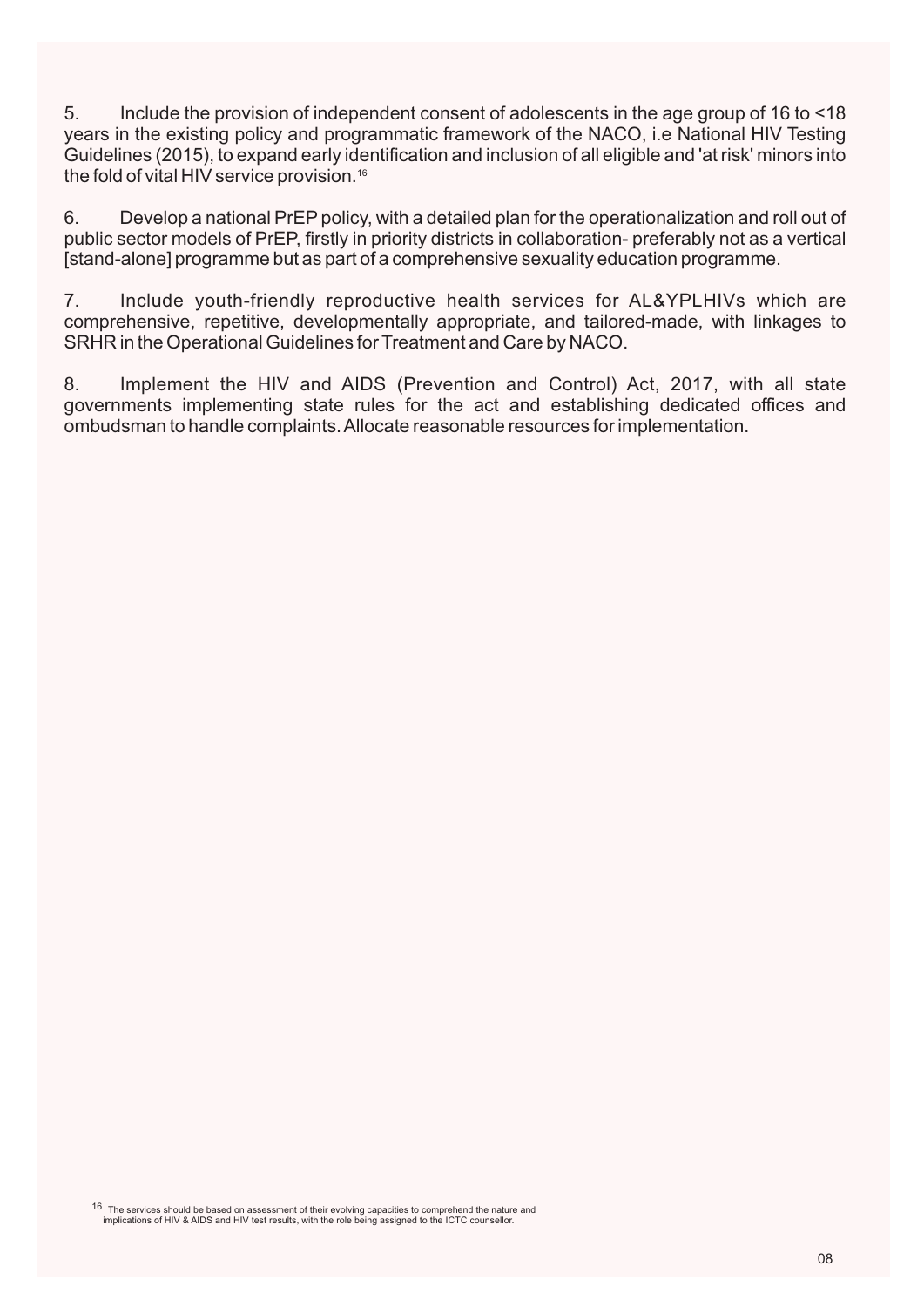5. Include the provision of independent consent of adolescents in the age group of 16 to <18 years in the existing policy and programmatic framework of the NACO, i.e National HIV Testing Guidelines (2015), to expand early identification and inclusion of all eligible and 'at risk' minors into the fold of vital HIV service provision. $^{16}$ 

6. Develop a national PrEP policy, with a detailed plan for the operationalization and roll out of public sector models of PrEP, firstly in priority districts in collaboration- preferably not as a vertical [stand-alone] programme but as part of a comprehensive sexuality education programme.

7. Include youth-friendly reproductive health services for AL&YPLHIVs which are comprehensive, repetitive, developmentally appropriate, and tailored-made, with linkages to SRHR in the Operational Guidelines for Treatment and Care by NACO.

8. Implement the HIV and AIDS (Prevention and Control) Act, 2017, with all state governments implementing state rules for the act and establishing dedicated offices and ombudsman to handle complaints. Allocate reasonable resources for implementation.

 The services should be based on assessment of their evolving capacities to comprehend the nature and implications of HIV & AIDS and HIV test results, with the role being assigned to the ICTC counsellor. 16